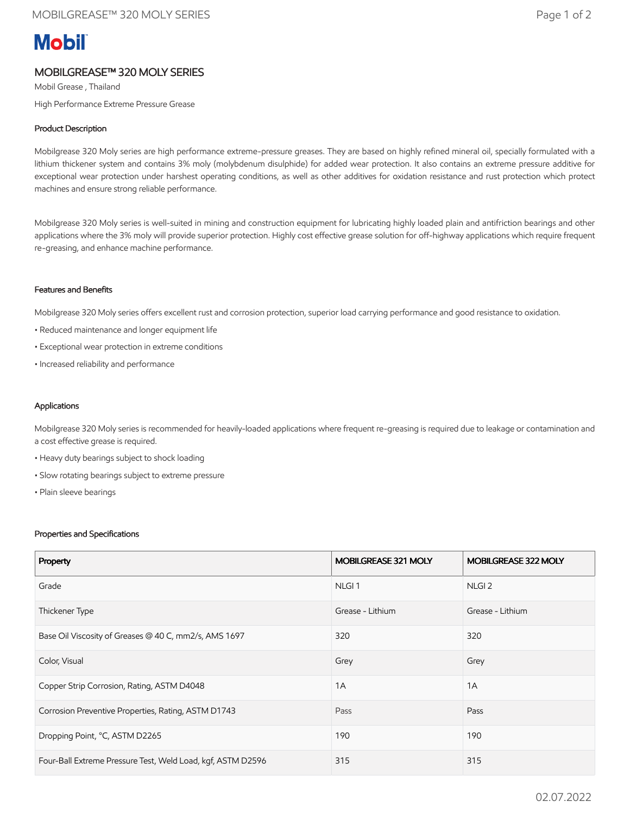# **Mobil**

## MOBILGREASE™ 320 MOLY SERIES

Mobil Grease , Thailand High Performance Extreme Pressure Grease

### Product Description

Mobilgrease 320 Moly series are high performance extreme-pressure greases. They are based on highly refined mineral oil, specially formulated with a lithium thickener system and contains 3% moly (molybdenum disulphide) for added wear protection. It also contains an extreme pressure additive for exceptional wear protection under harshest operating conditions, as well as other additives for oxidation resistance and rust protection which protect machines and ensure strong reliable performance.

Mobilgrease 320 Moly series is well-suited in mining and construction equipment for lubricating highly loaded plain and antifriction bearings and other applications where the 3% moly will provide superior protection. Highly cost effective grease solution for off-highway applications which require frequent re-greasing, and enhance machine performance.

#### Features and Benefits

Mobilgrease 320 Moly series offers excellent rust and corrosion protection, superior load carrying performance and good resistance to oxidation.

- Reduced maintenance and longer equipment life
- Exceptional wear protection in extreme conditions
- Increased reliability and performance

#### Applications

Mobilgrease 320 Moly series is recommended for heavily-loaded applications where frequent re-greasing is required due to leakage or contamination and a cost effective grease is required.

- Heavy duty bearings subject to shock loading
- Slow rotating bearings subject to extreme pressure
- Plain sleeve bearings

#### Properties and Specifications

| Property                                                    | MOBILGREASE 321 MOLY | <b>MOBILGREASE 322 MOLY</b> |
|-------------------------------------------------------------|----------------------|-----------------------------|
| Grade                                                       | NLGI <sub>1</sub>    | NLGI <sub>2</sub>           |
| Thickener Type                                              | Grease - Lithium     | Grease - Lithium            |
| Base Oil Viscosity of Greases @ 40 C, mm2/s, AMS 1697       | 320                  | 320                         |
| Color, Visual                                               | Grey                 | Grey                        |
| Copper Strip Corrosion, Rating, ASTM D4048                  | 1A                   | 1A                          |
| Corrosion Preventive Properties, Rating, ASTM D1743         | Pass                 | Pass                        |
| Dropping Point, °C, ASTM D2265                              | 190                  | 190                         |
| Four-Ball Extreme Pressure Test, Weld Load, kgf, ASTM D2596 | 315                  | 315                         |